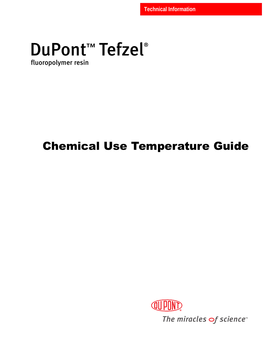# DuPont<sup>™</sup> Tefzel®

fluoropolymer resin

## Chemical Use Temperature Guide



The miracles of science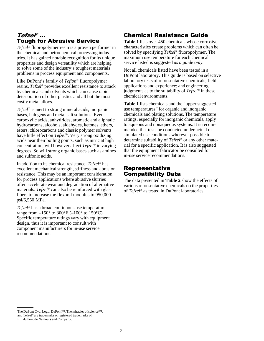## *Tefzel®* ...<br>Tough for Abrasive Service

*Tefzel*® fluoropolymer resin is a proven performer in the chemical and petrochemical processing industries. It has gained notable recognition for its unique properties and design versatility which are helping to solve some of the industry's toughest materials problems in process equipment and components.

Like DuPont's family of *Teflon*® fluoropolymer resins, *Tefzel*® provides excellent resistance to attack by chemicals and solvents which can cause rapid deterioration of other plastics and all but the most costly metal alloys.

*Tefzel*® is inert to strong mineral acids, inorganic bases, halogens and metal salt solutions. Even carboxylic acids, anhydrides, aromatic and aliphatic hydrocarbons, alcohols, aldehydes, ketones, ethers, esters, chlorocarbons and classic polymer solvents have little effect on *Tefzel*®. Very strong oxidizing acids near their boiling points, such as nitric at high concentration, will however affect *Tefzel*® in varying degrees. So will strong organic bases such as amines and sulfonic acids.

In addition to its chemical resistance, *Tefzel*® has excellent mechanical strength, stiffness and abrasion resistance. This may be an important consideration for process applications where abrasive slurries often accelerate wear and degradation of alternative materials. *Tefzel*® can also be reinforced with glass fibers to increase the flexural modulus to 950,000 psi/6,550 MPa.

*Tefzel*® has a broad continuous use temperature range from  $-150^{\circ}$  to 300°F ( $-100^{\circ}$  to 150°C). Specific temperature ratings vary with equipment design, thus it is important to consult with component manufacturers for in-use service recommendations.

#### Chemical Resistance Guide

**Table 1** lists over 450 chemicals whose corrosive characteristics create problems which can often be solved by specifying *Tefzel*® fluoropolymer. The maximum use temperature for each chemical service listed is suggested *as a guide only.*

Not all chemicals listed have been tested in a DuPont laboratory. This guide is based on selective laboratory tests of representative chemicals; field applications and experience; and engineering judgments as to the suitability of *Tefzel*® in these chemical environments.

**Table 1** lists chemicals and the "upper suggested use temperatures" for organic and inorganic chemicals and plating solutions. The temperature ratings, especially for inorganic chemicals, apply to aqueous and nonaqueous systems. It is recommended that tests be conducted under actual or simulated use conditions wherever possible to determine suitability of *Tefzel*® or any other material for a specific application. It is also suggested that the equipment fabricator be consulted for in-use service recommendations.

#### Representative Compatibility Data

The data presented in **Table 2** show the effects of various representative chemicals on the properties of *Tefzel*® as tested in DuPont laboratories.

The DuPont Oval Logo, DuPont™, The miracles of science™, and Tefzel® are trademarks or registered trademarks of E.I. du Pont de Nemours and Company.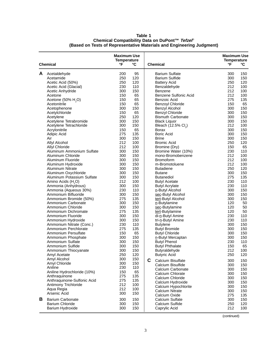| Chemical |                                | <b>Maximum Use</b><br><b>Temperature</b><br>°F | °C  |    | <b>Chemical</b>                                | $\mathsf{P}$ | <b>Maximum Use</b><br><b>Temperature</b><br>°C |  |
|----------|--------------------------------|------------------------------------------------|-----|----|------------------------------------------------|--------------|------------------------------------------------|--|
|          |                                |                                                |     |    |                                                |              |                                                |  |
| A        | Acetaldehyde                   | 200                                            | 95  |    | <b>Barium Sulfate</b>                          | 300          | 150                                            |  |
|          | Acetamide                      | 250                                            | 120 |    | Barium Sulfide                                 | 300          | 150                                            |  |
|          | Acetic Acid (50%)              | 250                                            | 120 |    | <b>Battery Acid</b>                            | 250          | 120                                            |  |
|          | Acetic Acid (Glacial)          | 230                                            | 110 |    | Benzaldehyde                                   | 212          | 100                                            |  |
|          | Acetic Anhydride               | 300                                            | 150 |    | Benzene                                        | 212          | 100                                            |  |
|          | Acetone                        | 150                                            | 65  |    | Benzene Sulfonic Acid                          | 212          | 100                                            |  |
|          | Acetone $(50\% H, O)$          | 150                                            | 65  |    | Benzoic Acid                                   | 275          | 135                                            |  |
|          | Acetonitrile                   | 150                                            | 65  |    | <b>Benzoyl Chloride</b>                        | 150          | 65                                             |  |
|          | Acetophenone                   | 300                                            | 150 |    | <b>Benzyl Alcohol</b>                          | 300          | 150                                            |  |
|          | Acetylchloride                 | 150                                            | 65  |    | <b>Benzyl Chloride</b>                         | 300          | 150                                            |  |
|          | Acetylene                      | 250                                            | 120 |    | <b>Bismuth Carbonate</b>                       | 300          | 150                                            |  |
|          | Acetylene Tetrabromide         | 300                                            | 150 |    | <b>Black Liquor</b>                            | 300          | 150                                            |  |
|          | Acetylene Tetrachloride        | 300                                            | 150 |    | Bleach (12.5% Cl <sub>2</sub> )                | 212          | 100                                            |  |
|          | Acrylonitrile                  | 150                                            | 65  |    | <b>Borax</b>                                   | 300          | 150                                            |  |
|          | Adipic Acid                    | 275                                            | 135 |    | <b>Boric Acid</b>                              | 300          | 150                                            |  |
|          | Air                            | 300                                            | 150 |    | <b>Brine</b>                                   | 300          | 150                                            |  |
|          | <b>Allyl Alcohol</b>           | 212                                            | 100 |    | <b>Bromic Acid</b>                             | 250          | 120                                            |  |
|          | <b>Allyl Chloride</b>          | 212                                            | 100 |    | Bromine (Dry)                                  | 150          | 65                                             |  |
|          | Aluminum Ammonium Sulfate      | 300                                            | 150 |    | Bromine Water (10%)                            | 230          | 110                                            |  |
|          | Aluminum Chloride              | 300                                            | 150 |    | mono-Bromobenzene                              | 212          | 100                                            |  |
|          | Aluminum Fluoride              | 300                                            | 150 |    | <b>Bromoform</b>                               | 212          | 100                                            |  |
|          | Aluminum Hydroxide             | 300                                            | 150 |    | m-Bromotoluene                                 | 212          | 100                                            |  |
|          | <b>Aluminum Nitrate</b>        | 300                                            | 150 |    | <b>Butadiene</b>                               | 250          | 120                                            |  |
|          | Aluminum Oxychloride           | 300                                            | 150 |    | <b>Butane</b>                                  | 300          | 150                                            |  |
|          | Aluminum Potassium Sulfate     | 300                                            | 150 |    | <b>Butanediol</b>                              | 275          | 135                                            |  |
|          | Amino Acids (H <sub>2</sub> O) | 212                                            | 100 |    | <b>Butyl Acetate</b>                           | 230          | 110                                            |  |
|          | Ammonia (Anhydrous)            | 300                                            | 150 |    | <b>Butyl Acrylate</b>                          | 230          | 110                                            |  |
|          | Ammonia (Aqueous 30%)          | 230                                            | 110 |    | n-Butyl Alcohol                                | 300          | 150                                            |  |
|          | Ammonium Bifluoride            | 300                                            | 150 |    | sec-Butyl Alcohol                              | 300          | 150                                            |  |
|          | Ammonium Bromide (50%)         | 275                                            | 135 |    | tert-Butyl Alcohol                             | 300          | 150                                            |  |
|          | Ammonium Carbonate             | 300                                            | 150 |    | n-Butylamine                                   | 120          | 50                                             |  |
|          | Ammonium Chloride              | 300                                            | 150 |    | sec-Butylamine                                 | 120          | 50                                             |  |
|          | Ammonium Dichromate            | 275                                            | 135 |    | tert-Butylamine                                | 120          | 50                                             |  |
|          | Ammonium Fluoride              | 300                                            | 150 |    | di-n-Butyl Amine                               | 230          | 110                                            |  |
|          | Ammonium Hydroxide             | 300                                            | 150 |    | tri-n-Butyl Amine                              | 230          | 110                                            |  |
|          | Ammonium Nitrate (Conc.)       | 230                                            | 110 |    | <b>Butylene</b>                                | 300          | 150                                            |  |
|          | Ammonium Perchlorate           | 275                                            | 135 |    | <b>Butyl Bromide</b>                           | 300          | 150                                            |  |
|          | Ammonium Persulfate            | 150                                            | 65  |    | <b>Butyl Chloride</b>                          | 300          | 150                                            |  |
|          | Ammonium Phosphate             | 300                                            | 150 |    | n-Butyl Mercaptan                              | 300          | 150                                            |  |
|          | Ammonium Sulfate               | 300                                            | 150 |    | <b>Butyl Phenol</b>                            | 230          | 110                                            |  |
|          | Ammonium Sulfide               | 300                                            | 150 |    | <b>Butyl Phthalate</b>                         | 150          | 65                                             |  |
|          | Ammonium Thiocyanate           | 300                                            | 150 |    | Butyraldehyde                                  | 212          | 100                                            |  |
|          | Amyl Acetate                   | 250                                            | 120 |    | <b>Butyric Acid</b>                            | 250          | 120                                            |  |
|          | Amyl Alcohol                   | 300                                            | 150 | C. | Calcium Bisulfate                              | 300          | 150                                            |  |
|          | Amyl Chloride                  | 300                                            | 150 |    | Calcium Bisulfide                              | 300          | 150                                            |  |
|          | Aniline                        | 230                                            | 110 |    | Calcium Carbonate                              | 300          | 150                                            |  |
|          | Aniline Hydrochloride (10%)    | 150                                            | 65  |    | Calcium Chlorate                               | 300          | 150                                            |  |
|          | Anthraquinone                  | 275                                            | 135 |    |                                                |              |                                                |  |
|          | Anthraquinone-Sulfonic Acid    | 275                                            | 135 |    | Calcium Chloride<br>Calcium Hydroxide          | 300<br>300   | 150                                            |  |
|          | Antimony Trichloride           | 212                                            | 100 |    |                                                |              | 150                                            |  |
|          | Aqua Regia                     | 212                                            | 100 |    | Calcium Hypochlorite<br><b>Calcium Nitrate</b> | 300          | 150                                            |  |
|          | Arsenic Acid                   | 300                                            | 150 |    | Calcium Oxide                                  | 300          | 150                                            |  |
| В        | <b>Barium Carbonate</b>        | 300                                            | 150 |    | Calcium Sulfate                                | 275<br>300   | 135<br>150                                     |  |
|          | <b>Barium Chloride</b>         | 300                                            | 150 |    | Calcium Sulfide                                | 250          | 120                                            |  |
|          | Barium Hydroxide               | 300                                            | 150 |    | Caprylic Acid                                  | 212          | 100                                            |  |
|          |                                |                                                |     |    |                                                |              |                                                |  |

(continued)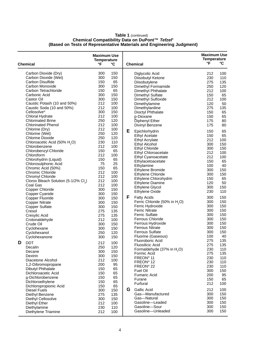|   | <b>Chemical</b>                                  | <b>Maximum Use</b><br><b>Temperature</b><br>°F | °C         | <b>Chemical</b> |                                                                 | <b>Maximum Use</b><br><b>Temperature</b><br>°F | °C         |
|---|--------------------------------------------------|------------------------------------------------|------------|-----------------|-----------------------------------------------------------------|------------------------------------------------|------------|
|   |                                                  |                                                |            |                 |                                                                 |                                                |            |
|   | Carbon Dioxide (Dry)                             | 300                                            | 150        |                 | Diglycolic Acid                                                 | 212                                            | 100        |
|   | Carbon Dioxide (Wet)                             | 300                                            | 150        |                 | Diisobutyl Ketone                                               | 230                                            | 110        |
|   | Carbon Disulfide                                 | 150                                            | 65         |                 | Diisobutylene                                                   | 275                                            | 135        |
|   | Carbon Monoxide                                  | 300                                            | 150        |                 | Dimethyl Formamide                                              | 250                                            | 120        |
|   | Carbon Tetrachloride                             | 150                                            | 65         |                 | Dimethyl Phthalate                                              | 212                                            | 100        |
|   | Carbonic Acid<br>Castor Oil                      | 300<br>300                                     | 150<br>150 |                 | Dimethyl Sulfate                                                | 150                                            | 65         |
|   | Caustic Potash (10 and 50%)                      | 212                                            | 100        |                 | Dimethyl Sulfoxide<br>Dimethylamine                             | 212<br>120                                     | 100<br>50  |
|   | Caustic Soda (10 and 50%)                        | 212                                            | 100        |                 | Dimethylaniline                                                 | 275                                            | 135        |
|   | Cellosolve <sup>®</sup>                          | 300                                            | 150        |                 | Dioctyl Phthalate                                               | 150                                            | 65         |
|   | Chloral Hydrate                                  | 212                                            | 100        |                 | p-Dioxane                                                       | 150                                            | 65         |
|   | <b>Chlorinated Brine</b>                         | 250                                            | 120        |                 | Diphenyl Ether                                                  | 175                                            | 80         |
|   | <b>Chlorinated Phenol</b>                        | 212                                            | 100        |                 | Divinyl Benzene                                                 | 175                                            | 80         |
|   | Chlorine (Dry)                                   | 212                                            | 100        |                 |                                                                 |                                                |            |
|   | Chlorine (Wet)                                   | 250                                            | 120        | Е               | Epichlorhydrin                                                  | 150                                            | 65         |
|   | <b>Chlorine Dioxide</b>                          | 250                                            | 120        |                 | <b>Ethyl Acetate</b>                                            | 150                                            | 65         |
|   | Chloroacetic Acid (50% H <sub>2</sub> O)         | 230                                            | 110        |                 | <b>Ethyl Acrylate</b>                                           | 212                                            | 100        |
|   | Chlorobenzene                                    | 212                                            | 100        |                 | <b>Ethyl Alcohol</b><br><b>Ethyl Chloride</b>                   | 300<br>300                                     | 150<br>150 |
|   | Chlorobenzyl Chloride                            | 150                                            | 65         |                 | Ethyl Chloroacetate                                             | 212                                            | 100        |
|   | Chloroform                                       | 212                                            | 100        |                 | Ethyl Cyanoacetate                                              | 212                                            | 100        |
|   | Chlorohydrin (Liquid)                            | 150                                            | 65         |                 | Ethylacetoacetate                                               | 150                                            | 65         |
|   | Chlorosulphonic Acid                             | 75                                             | 25         |                 | Ethylamine                                                      | 100                                            | 40         |
|   | Chromic Acid (50%)                               | 150                                            | 65         |                 | Ethylene Bromide                                                | 300                                            | 150        |
|   | Chromic Chloride                                 | 212                                            | 100        |                 | <b>Ethylene Chloride</b>                                        | 300                                            | 150        |
|   | Chromyl Chloride                                 | 212                                            | 100        |                 | Ethylene Chlorohydrin                                           | 150                                            | 65         |
|   | Clorox Bleach Solution (5-1/2% Cl <sub>2</sub> ) | 212                                            | 100        |                 | <b>Ethylene Diamine</b>                                         | 120                                            | 50         |
|   | Coal Gas                                         | 212                                            | 100        |                 | Ethylene Glycol                                                 | 300                                            | 150        |
|   | <b>Copper Chloride</b>                           | 300                                            | 150        |                 | Ethylene Oxide                                                  | 230                                            | 110        |
|   | Copper Cyanide                                   | 300                                            | 150        | F               |                                                                 |                                                |            |
|   | <b>Copper Fluoride</b>                           | 300                                            | 150        |                 | <b>Fatty Acids</b><br>Ferric Chloride (50% in H <sub>2</sub> O) | 300<br>300                                     | 150<br>150 |
|   | <b>Copper Nitrate</b>                            | 300                                            | 150        |                 | Ferric Hydroxide                                                | 300                                            | 150        |
|   | <b>Copper Sulfate</b>                            | 300                                            | 150        |                 | <b>Ferric Nitrate</b>                                           | 300                                            | 150        |
|   | Cresol<br>Cresylic Acid                          | 275<br>275                                     | 135<br>135 |                 | <b>Ferric Sulfate</b>                                           | 300                                            | 150        |
|   | Crotonaldehyde                                   | 212                                            | 100        |                 | <b>Ferrous Chloride</b>                                         | 300                                            | 150        |
|   | Crude Oil                                        | 300                                            | 150        |                 | Ferrous Hydroxide                                               | 300                                            | 150        |
|   | Cyclohexane                                      | 300                                            | 150        |                 | <b>Ferrous Nitrate</b>                                          | 300                                            | 150        |
|   | Cyclohexanol                                     | 250                                            | 120        |                 | <b>Ferrous Sulfate</b>                                          | 300                                            | 150        |
|   | Cyclohexanone                                    | 300                                            | 150        |                 | Fluorine (Gaseous)                                              | 100                                            | 40         |
|   |                                                  |                                                |            |                 | Fluoroboric Acid                                                | 275                                            | 135        |
| D | <b>DDT</b>                                       | 212                                            | 100        |                 | Fluosilicic Acid                                                | 275                                            | 135        |
|   | Decalin                                          | 250                                            | 120        |                 | Formaldehyde (37% in H <sub>2</sub> O)                          | 230                                            | 110        |
|   | Decane<br><b>Dextrin</b>                         | 300<br>300                                     | 150<br>150 |                 | Formic Acid                                                     | 275                                            | 135        |
|   | Diacetone Alcohol                                | 212                                            | 100        |                 | FREON <sup>®</sup> 11                                           | 230                                            | 110        |
|   | 1,2-Dibromopropane                               | 200                                            | 95         |                 | FREON <sup>®</sup> 12                                           | 230                                            | 110        |
|   | Dibutyl Phthalate                                | 150                                            | 65         |                 | FREON <sup>®</sup> 22                                           | 230                                            | 110        |
|   | Dichloroacetic Acid                              | 150                                            | 65         |                 | Fuel Oil                                                        | 300                                            | 150        |
|   | o-Dichlorobenzene                                | 150                                            | 65         |                 | <b>Fumaric Acid</b>                                             | 200                                            | 95         |
|   | Dichloroethylene                                 | 150                                            | 65         |                 | Furane                                                          | 150                                            | 65         |
|   | Dichloropropionic Acid                           | 150                                            | 65         |                 | Furfural                                                        | 212                                            | 100        |
|   | <b>Diesel Fuels</b>                              | 300                                            | 150        | G               | <b>Gallic Acid</b>                                              | 212                                            | 100        |
|   | Diethyl Benzene                                  | 275                                            | 135        |                 | Gas-Manufactured                                                | 300                                            | 150        |
|   | Diethyl Cellosolve                               | 300                                            | 150        |                 | Gas-Natural                                                     | 300                                            | 150        |
|   | Diethyl Ether                                    | 212                                            | 100        |                 | Gasoline-Leaded                                                 | 300                                            | 150        |
|   | Diethylamine                                     | 230                                            | 110        |                 | Gasoline-Sour                                                   | 300                                            | 150        |
|   | Diethylene Triamine                              | 212                                            | 100        |                 | Gasoline-Unleaded                                               | 300                                            | 150        |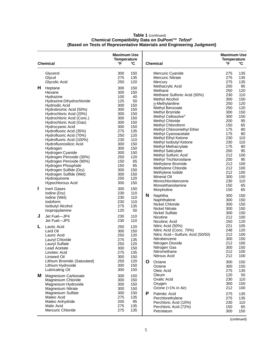| <b>Chemical</b> |                                                    | <b>Maximum Use</b><br><b>Temperature</b><br>$\mathsf{P}$ | °C         |   | <b>Chemical</b>                    | <b>Maximum Use</b><br><b>Temperature</b><br>°F<br>°C |            |
|-----------------|----------------------------------------------------|----------------------------------------------------------|------------|---|------------------------------------|------------------------------------------------------|------------|
|                 |                                                    |                                                          |            |   |                                    |                                                      |            |
|                 | Glycerol                                           | 300                                                      | 150        |   | Mercuric Cyanide                   | 275                                                  | 135        |
|                 | Glycol                                             | 275                                                      | 135        |   | <b>Mercuric Nitrate</b>            | 275                                                  | 135        |
|                 | Glycolic Acid                                      | 250                                                      | 120        |   | Mercury                            | 275                                                  | 135        |
| H               | Heptane                                            | 300                                                      | 150        |   | Methacrylic Acid                   | 200                                                  | 95         |
|                 | Hexane                                             | 300                                                      | 150        |   | Methane                            | 250                                                  | 120        |
|                 | Hydrazine                                          | 100                                                      | 40         |   | Methane Sulfonic Acid (50%)        | 230                                                  | 110        |
|                 | Hydrazine Dihydrochloride                          | 125                                                      | 50         |   | <b>Methyl Alcohol</b>              | 300                                                  | 150<br>120 |
|                 | <b>Hydriodic Acid</b>                              | 300                                                      | 150        |   | n-Methylaniline<br>Methyl Benzoate | 250<br>250                                           | 120        |
|                 | Hydrobromic Acid (50%)                             | 300                                                      | 150        |   | Methyl Bromide                     | 300                                                  | 150        |
|                 | Hydrochloric Acid (20%)                            | 300                                                      | 150        |   | Methyl Cellosolve <sup>®</sup>     | 300                                                  | 150        |
|                 | Hydrochloric Acid (Conc.)                          | 300                                                      | 150        |   | <b>Methyl Chloride</b>             | 200                                                  | 95         |
|                 | Hydrochloric Acid (Gas)                            | 300                                                      | 150        |   | Methyl Chloroform                  | 150                                                  | 65         |
|                 | Hydrocyanic Acid                                   | 300                                                      | 150        |   | Methyl Chloromethyl Ether          | 175                                                  | 80         |
|                 | Hydrofluoric Acid (35%)                            | 275                                                      | 135        |   | Methyl Cyanoacetate                | 175                                                  | 80         |
|                 | Hydrofluoric Acid (70%)                            | 250                                                      | 120        |   | Methyl Ethyl Ketone                | 230                                                  | 110        |
|                 | Hydrofluoric Acid (100%)                           | 230                                                      | 110        |   | Methyl Isobutyl Ketone             | 230                                                  | 110        |
|                 | Hydrofluorosilicic Acid                            | 300                                                      | 150        |   | Methyl Methacrylate                | 175                                                  | 80         |
|                 | Hydrogen                                           | 300                                                      | 150        |   | <b>Methyl Salicylate</b>           | 200                                                  | 95         |
|                 | Hydrogen Cyanide                                   | 300<br>250                                               | 150<br>120 |   | Methyl Sulfuric Acid               | 212                                                  | 100        |
|                 | Hydrogen Peroxide (30%)<br>Hydrogen Peroxide (90%) | 150                                                      | 65         |   | Methyl Trichlorosilane             | 200                                                  | 95         |
|                 | Hydrogen Phosphide                                 | 150                                                      | 65         |   | Methylene Bromide                  | 212                                                  | 100        |
|                 | Hydrogen Sulfide (Dry)                             | 300                                                      | 150        |   | Methylene Chloride                 | 212                                                  | 100        |
|                 | Hydrogen Sulfide (Wet)                             | 300                                                      | 150        |   | Methylene lodide                   | 212                                                  | 100        |
|                 | Hydroquinone                                       | 250                                                      | 120        |   | <b>Mineral Oil</b>                 | 300                                                  | 150        |
|                 | <b>Hypochlorous Acid</b>                           | 300                                                      | 150        |   | Monochlorobenzene                  | 230                                                  | 110        |
|                 |                                                    |                                                          |            |   | Monoethanolamine                   | 150                                                  | 65         |
| ı               | <b>Inert Gases</b>                                 | 300                                                      | 150        |   | Morpholine                         | 150                                                  | 65         |
|                 | Iodine (Dry)                                       | 230                                                      | 110        | N | Naphtha                            | 300                                                  | 150        |
|                 | Iodine (Wet)                                       | 230                                                      | 110        |   | Naphthalene                        | 300                                                  | 150        |
|                 | <b>lodoform</b>                                    | 230                                                      | 110        |   | Nickel Chloride                    | 300                                                  | 150        |
|                 | <b>Isobutyl Alcohol</b>                            | 275<br>120                                               | 135<br>50  |   | <b>Nickel Nitrate</b>              | 300                                                  | 150        |
|                 | Isopropylamine                                     |                                                          |            |   | <b>Nickel Sulfate</b>              | 300                                                  | 150        |
| J               | Jet Fuel-JP4                                       | 230                                                      | 110        |   | Nicotine                           | 212                                                  | 100        |
|                 | Jet Fuel-JP5                                       | 230                                                      | 110        |   | Nicotinic Acid                     | 250                                                  | 120        |
| L               | Lactic Acid                                        | 250                                                      | 120        |   | Nitric Acid (50%)                  | 221                                                  | 105        |
|                 | Lard Oil                                           | 300                                                      | 150        |   | Nitric Acid (Conc. 70%)            | 248                                                  | 120        |
|                 | Lauric Acid                                        | 250                                                      | 120        |   | Nitric Acid-Sulfuric Acid (50/50)  | 212                                                  | 100        |
|                 | Lauryl Chloride                                    | 275                                                      | 135        |   | Nitrobenzene                       | 300                                                  | 150        |
|                 | Lauryl Sulfate                                     | 250                                                      | 120        |   | Nitrogen Dioxide                   | 212                                                  | 100        |
|                 | Lead Acetate                                       | 300                                                      | 150        |   | Nitrogen Gas                       | 300                                                  | 150        |
|                 | Linoleic Acid                                      | 275                                                      | 135        |   | Nitromethane                       | 212                                                  | 100        |
|                 | Linseed Oil                                        | 300                                                      | 150        |   | <b>Nitrous Acid</b>                | 212                                                  | 100        |
|                 | Lithium Bromide (Saturated)                        | 250                                                      | 120        | O | Octane                             | 300                                                  | 150        |
|                 | Lithium Hydroxide                                  | 300                                                      | 150        |   | Octene                             | 300                                                  | 150        |
|                 | Lubricating Oil                                    | 300                                                      | 150        |   | Oleic Acid                         | 275                                                  | 135        |
| м               | Magnesium Carbonate                                | 300                                                      | 150        |   | Oleum                              | 120                                                  | 50         |
|                 | Magnesium Chloride                                 | 300                                                      | 150        |   | Oxalic Acid                        | 230                                                  | 110        |
|                 | Magnesium Hydroxide                                | 300                                                      | 150        |   | Oxygen                             | 300                                                  | 150        |
|                 | Magnesium Nitrate                                  | 300                                                      | 150        |   | Ozone (<1% in Air)                 | 212                                                  | 100        |
|                 | Magnesium Sulfate                                  | 300                                                      | 150        | P | <b>Palmitic Acid</b>               | 275                                                  | 135        |
|                 | Maleic Acid                                        | 275                                                      | 135        |   | Perchlorethylene                   | 275                                                  | 135        |
|                 | Maleic Anhydride                                   | 200                                                      | 95         |   | Perchloric Acid (10%)              | 230                                                  | 110        |
|                 | Malic Acid                                         | 275                                                      | 135        |   | Perchloric Acid (72%)              | 150                                                  | 65         |
|                 | Mercuric Chloride                                  | 275                                                      | 135        |   | Petrolatum                         | 300                                                  | 150        |

(continued)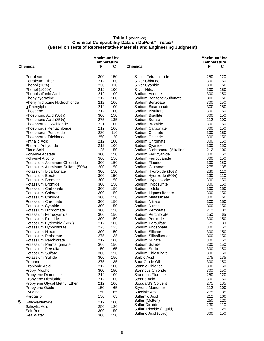| <b>Chemical</b>                                  | <b>Maximum Use</b><br><b>Temperature</b><br>$\mathsf{P}$ | °C         | <b>Chemical</b>                                 | <b>Maximum Use</b><br><b>Temperature</b><br>°F | °C         |
|--------------------------------------------------|----------------------------------------------------------|------------|-------------------------------------------------|------------------------------------------------|------------|
|                                                  |                                                          |            |                                                 |                                                |            |
| Petroleum                                        | 300                                                      | 150        | Silicon Tetrachloride                           | 250                                            | 120        |
| Petroleum Ether                                  | 212                                                      | 100        | Silver Chloride                                 | 300                                            | 150        |
| Phenol (10%)                                     | 230                                                      | 110        | Silver Cyanide                                  | 300                                            | 150        |
| Phenol (100%)                                    | 212                                                      | 100        | <b>Silver Nitrate</b>                           | 300                                            | 150        |
| <b>Phenolsulfonic Acid</b>                       | 212                                                      | 100        | Sodium Acetate                                  | 300                                            | 150        |
| Phenylhydrazine                                  | 212<br>212                                               | 100        | Sodium Benzene-Sulfonate                        | 300                                            | 150        |
| Phenylhydrazine Hydrochloride<br>o-Phenylphenol  | 212                                                      | 100<br>100 | Sodium Benzoate<br>Sodium Bicarbonate           | 300<br>300                                     | 150<br>150 |
| Phosgene                                         | 212                                                      | 100        | Sodium Bisulfate                                | 300                                            | 150        |
| Phosphoric Acid (30%)                            | 300                                                      | 150        | Sodium Bisulfite                                | 300                                            | 150        |
| Phosphoric Acid (85%)                            | 275                                                      | 135        | Sodium Borate                                   | 212                                            | 100        |
| Phosphorus Oxychloride                           | 221                                                      | 100        | Sodium Bromide                                  | 300                                            | 150        |
| Phosphorus Pentachloride                         | 212                                                      | 100        | Sodium Carbonate                                | 300                                            | 150        |
| Phosphorus Pentoxide                             | 230                                                      | 110        | Sodium Chlorate                                 | 300                                            | 150        |
| Phosphorus Trichloride                           | 250                                                      | 120        | Sodium Chloride                                 | 300                                            | 150        |
| <b>Phthalic Acid</b>                             | 212                                                      | 100        | Sodium Chromate                                 | 300                                            | 150        |
| Phthalic Anhydride                               | 212                                                      | 100        | Sodium Cyanide                                  | 300                                            | 150        |
| Picric Acid                                      | 125                                                      | 50         | Sodium Dichromate (Alkaline)                    | 212                                            | 100        |
| Polyvinyl Acetate                                | 300                                                      | 150        | Sodium Ferricyanide                             | 300                                            | 150        |
| Polyvinyl Alcohol<br>Potassium Aluminum Chloride | 300<br>300                                               | 150<br>150 | Sodium Ferrocyanide<br>Sodium Fluoride          | 300<br>300                                     | 150<br>150 |
| Potassium Aluminum Sulfate (50%)                 | 300                                                      | 150        | Sodium Glutamate                                | 275                                            | 135        |
| Potassium Bicarbonate                            | 300                                                      | 150        | Sodium Hydroxide (10%)                          | 230                                            | 110        |
| Potassium Borate                                 | 300                                                      | 150        | Sodium Hydroxide (50%)                          | 230                                            | 110        |
| Potassium Bromate                                | 300                                                      | 150        | Sodium Hypochlorite                             | 300                                            | 150        |
| Potassium Bromide                                | 300                                                      | 150        | Sodium Hyposulfite                              | 300                                            | 150        |
| Potassium Carbonate                              | 300                                                      | 150        | Sodium Iodide                                   | 300                                            | 150        |
| Potassium Chlorate                               | 300                                                      | 150        | Sodium Lignosulfonate                           | 300                                            | 150        |
| Potassium Chloride                               | 300                                                      | 150        | Sodium Metasilicate                             | 300                                            | 150        |
| Potassium Chromate                               | 300                                                      | 150        | Sodium Nitrate                                  | 300                                            | 150        |
| Potassium Cyanide                                | 300                                                      | 150        | Sodium Nitrite                                  | 300                                            | 150        |
| Potassium Dichromate                             | 300                                                      | 150        | Sodium Perborate                                | 212                                            | 100        |
| Potassium Ferrocyanide                           | 300                                                      | 150        | Sodium Perchlorate                              | 150                                            | 65         |
| Potassium Fluoride<br>Potassium Hydroxide (50%)  | 300<br>212                                               | 150<br>100 | Sodium Peroxide<br>Sodium Persulfate            | 300<br>175                                     | 150<br>80  |
| Potassium Hypochlorite                           | 275                                                      | 135        | Sodium Phosphate                                | 300                                            | 150        |
| Potassium Nitrate                                | 300                                                      | 150        | Sodium Silicate                                 | 300                                            | 150        |
| Potassium Perborate                              | 275                                                      | 135        | Sodium Silicofluoride                           | 300                                            | 150        |
| Potassium Perchlorate                            | 212                                                      | 100        | Sodium Sulfate                                  | 300                                            | 150        |
| Potassium Permanganate                           | 300                                                      | 150        | Sodium Sulfide                                  | 300                                            | 150        |
| Potassium Persulfate                             | 150                                                      | 65         | Sodium Sulfite                                  | 300                                            | 150        |
| Potassium Sulfate                                | 300                                                      | 150        | Sodium Thiosulfate                              | 300                                            | 150        |
| Potassium Sulfide                                | 300                                                      | 150        | Sorbic Acid                                     | 275                                            | 135        |
| Propane                                          | 275                                                      | 135        | Sour Crude Oil                                  | 300                                            | 150        |
| Propionic Acid                                   | 212                                                      | 100        | Stannic Chloride                                | 300                                            | 150        |
| Propyl Alcohol                                   | 300                                                      | 150        | Stannous Chloride                               | 300                                            | 150        |
| Propylene Dibromide<br>Propylene Dichloride      | 212<br>212                                               | 100<br>100 | <b>Stannous Fluoride</b><br><b>Stearic Acid</b> | 250<br>300                                     | 120<br>150 |
| Propylene Glycol Methyl Ether                    | 212                                                      | 100        | Stoddard's Solvent                              | 275                                            | 135        |
| Propylene Oxide                                  | 150                                                      | 65         | <b>Styrene Monomer</b>                          | 212                                            | 100        |
| Pyridine                                         | 150                                                      | 65         | Succinic Acid                                   | 275                                            | 135        |
| Pyrogallol                                       | 150                                                      | 65         | Sulfamic Acid                                   | 212                                            | 100        |
| S                                                | 212                                                      | 100        | Sulfur (Molten)                                 | 250                                            | 120        |
| Salicylaldehyde<br>Salicylic Acid                | 250                                                      | 120        | <b>Sulfur Dioxide</b>                           | 230                                            | 110        |
| Salt Brine                                       | 300                                                      | 150        | Sulfur Trioxide (Liquid)                        | 75                                             | 25         |
| Sea Water                                        | 300                                                      | 150        | Sulfuric Acid (60%)                             | 300                                            | 150        |
|                                                  |                                                          |            |                                                 |                                                |            |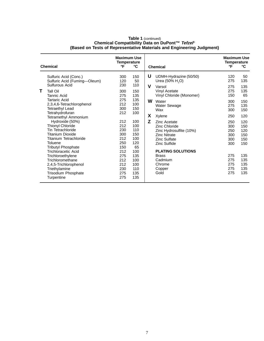|   | <b>Chemical</b>                                                                                                                                                                        | <b>Maximum Use</b><br>Temperature<br>°F              | °C                                                  |        | <b>Chemical</b>                                                                                                                                | <b>Maximum Use</b><br><b>Temperature</b><br>°F | °C                                            |
|---|----------------------------------------------------------------------------------------------------------------------------------------------------------------------------------------|------------------------------------------------------|-----------------------------------------------------|--------|------------------------------------------------------------------------------------------------------------------------------------------------|------------------------------------------------|-----------------------------------------------|
| т | Sulfuric Acid (Conc.)<br>Sulfuric Acid (Fuming-Oleum)<br>Sulfurous Acid<br>Tall Oil                                                                                                    | 300<br>120<br>230<br>300                             | 150<br>50<br>110                                    | U<br>v | UDMH-Hydrazine (50/50)<br>Urea (50% H <sub>2</sub> O)<br>Varsol<br>Vinyl Acetate                                                               | 120<br>275<br>275<br>275                       | 50<br>135<br>135<br>135                       |
|   | Tannic Acid<br>Tartaric Acid<br>2,3,4,6-Tetrachlorophenol<br><b>Tetraethyl Lead</b><br>Tetrahydrofuran                                                                                 | 275<br>275<br>212<br>300<br>212                      | 150<br>135<br>135<br>100<br>150<br>100              | W      | Vinyl Chloride (Monomer)<br>Water<br><b>Water Sewage</b><br>Wax                                                                                | 150<br>300<br>275<br>300                       | 65<br>150<br>135<br>150                       |
|   | <b>Tetramethyl Ammonium</b><br>Hydroxide (50%)<br><b>Thionyl Chloride</b><br>Tin Tetrachloride<br>Titanium Dioxide<br>Titanium Tetrachloride<br>Toluene                                | 212<br>212<br>230<br>300<br>212<br>250               | 100<br>100<br>110<br>150<br>100<br>120              | X<br>Z | Xylene<br>Zinc Acetate<br><b>Zinc Chloride</b><br>Zinc Hydrosulfite (10%)<br><b>Zinc Nitrate</b><br><b>Zinc Sulfate</b><br><b>Zinc Sulfide</b> | 250<br>250<br>300<br>250<br>300<br>300<br>300  | 120<br>120<br>150<br>120<br>150<br>150<br>150 |
|   | <b>Tributyl Phosphate</b><br><b>Trichloracetic Acid</b><br>Trichloroethylene<br>Trichloromethane<br>2,4,5-Trichlorophenol<br>Triethylamine<br><b>Trisodium Phosphate</b><br>Turpentine | 150<br>212<br>275<br>212<br>212<br>230<br>275<br>275 | 65<br>100<br>135<br>100<br>100<br>110<br>135<br>135 |        | <b>PLATING SOLUTIONS</b><br><b>Brass</b><br>Cadmium<br>Chrome<br>Copper<br>Gold                                                                | 275<br>275<br>275<br>275<br>275                | 135<br>135<br>135<br>135<br>135               |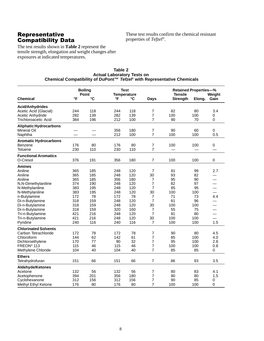#### Representative Compatibility Data

These test results confirm the chemical resistant properties of *Tefzel*®.

The test results shown in **Table 2** represent the tensile strength, elongation and weight changes after exposures at indicated temperatures.

|                               | <b>Boiling</b><br><b>Point</b> |     |     | <b>Test</b><br><b>Temperature</b> |                | <b>Retained Properties-%</b><br><b>Tensile</b><br>Weight |        |                          |
|-------------------------------|--------------------------------|-----|-----|-----------------------------------|----------------|----------------------------------------------------------|--------|--------------------------|
| <b>Chemical</b>               | °F                             | °C  | °F  | °C                                | <b>Days</b>    | <b>Strength</b>                                          | Elong. | Gain                     |
| <b>Acid/Anhydrides</b>        |                                |     |     |                                   |                |                                                          |        |                          |
| Acetic Acid (Glacial)         | 244                            | 118 | 244 | 118                               | 7              | 82                                                       | 80     | 3.4                      |
| Acetic Anhydride              | 282                            | 139 | 282 | 139                               | 7              | 100                                                      | 100    | 0                        |
| Trichloroacetic Acid          | 384                            | 196 | 212 | 100                               | 7              | 90                                                       | 70     | 0                        |
| <b>Aliphatic Hydrocarbons</b> |                                |     |     |                                   |                |                                                          |        |                          |
| Mineral Oil                   |                                |     | 356 | 180                               | 7              | 90                                                       | 60     | $\mathbf 0$              |
| Naphtha                       |                                |     | 212 | 100                               | 7              | 100                                                      | 100    | 0.5                      |
| <b>Aromatic Hydrocarbons</b>  |                                |     |     |                                   |                |                                                          |        |                          |
| Benzene                       | 176                            | 80  | 176 | 80                                | 7              | 100                                                      | 100    | $\mathbf 0$              |
| Toluene                       | 230                            | 110 | 230 | 110                               | 7              |                                                          |        |                          |
| <b>Functional Aromatics</b>   |                                |     |     |                                   |                |                                                          |        |                          |
| O-Cresol                      | 376                            | 191 | 356 | 180                               | 7              | 100                                                      | 100    | $\mathbf 0$              |
| Amines                        |                                |     |     |                                   |                |                                                          |        |                          |
| Aniline                       | 365                            | 185 | 248 | 120                               | 7              | 81                                                       | 99     | 2.7                      |
| Aniline                       | 365                            | 185 | 248 | 120                               | 30             | 93                                                       | 82     |                          |
| Aniline                       | 365                            | 185 | 356 | 180                               | 7              | 95                                                       | 90     |                          |
| N,N-Dimethylaniline           | 374                            | 190 | 248 | 120                               | 7              | 82                                                       | 97     |                          |
| N-Methylaniline               | 383                            | 195 | 248 | 120                               | $\overline{7}$ | 85                                                       | 95     | $\overline{\phantom{0}}$ |
| N-Methylaniline               | 383                            | 195 | 248 | 120                               | 30             | 100                                                      | 100    |                          |
| n-Butylamine                  | 172                            | 78  | 172 | 78                                | 7              | 71                                                       | 73     | 4.4                      |
| Di-n-Butylamine               | 318                            | 159 | 248 | 120                               | 7              | 81                                                       | 96     |                          |
| Di-n-Butylamine               | 318                            | 159 | 248 | 120                               | 30             | 100                                                      | 100    |                          |
| Di-n-Butylamine               | 318                            | 159 | 320 | 160                               | $\overline{7}$ | 55                                                       | 75     | $\overline{\phantom{0}}$ |
| Tri-n-Butylamine              | 421                            | 216 | 248 | 120                               | 7              | 81                                                       | 80     | $\overline{\phantom{0}}$ |
| Tri-n-Butylamine              | 421                            | 216 | 248 | 120                               | 30             | 100                                                      | 100    |                          |
| Pyridine                      | 240                            | 116 | 240 | 116                               | 7              | 100                                                      | 100    | 1.5                      |
| <b>Chlorinated Solvents</b>   |                                |     |     |                                   |                |                                                          |        |                          |
| Carbon Tetrachloride          | 172                            | 78  | 172 | 78                                | 7              | 90                                                       | 80     | 4.5                      |
| Chloroform                    | 144                            | 62  | 142 | 61                                | 7              | 85                                                       | 100    | 4.0                      |
| Dichloroethylene              | 170                            | 77  | 90  | 32                                | 7              | 95                                                       | 100    | 2.8                      |
| FREON <sup>®</sup> 113        | 115                            | 46  | 115 | 46                                | 7              | 100                                                      | 100    | 0.8                      |
| Methylene Chloride            | 104                            | 40  | 104 | 40                                | 7              | 85                                                       | 85     | 0                        |
| <b>Ethers</b>                 |                                |     |     |                                   |                |                                                          |        |                          |
| Tetrahydrofuran               | 151                            | 66  | 151 | 66                                | 7              | 86                                                       | 93     | 3.5                      |
| Aldehyde/Ketones              |                                |     |     |                                   |                |                                                          |        |                          |
| Acetone                       | 132                            | 56  | 132 | 56                                | 7              | 80                                                       | 83     | 4.1                      |
| Acetophenone                  | 394                            | 201 | 356 | 180                               | 7              | 80                                                       | 80     | 1.5                      |
| Cyclohexanone                 | 312                            | 156 | 312 | 156                               | 7              | 90                                                       | 85     | 0                        |
| Methyl Ethyl Ketone           | 176                            | 80  | 176 | 80                                | 7              | 100                                                      | 100    | 0                        |

#### **Table 2 Actual Laboratory Tests on Chemical Compatibility of DuPont™ Tefzel**® **with Representative Chemicals**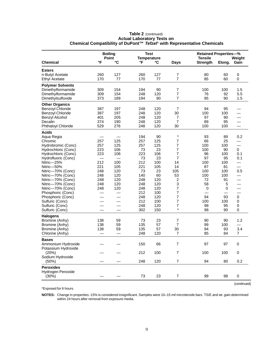|                         |              | <b>Boiling</b>        | <b>Test</b><br><b>Temperature</b> |     |                          | <b>Retained Properties-%</b>      |        |                          |
|-------------------------|--------------|-----------------------|-----------------------------------|-----|--------------------------|-----------------------------------|--------|--------------------------|
| <b>Chemical</b>         | $\mathsf{P}$ | Point<br>$\mathbf{C}$ | °F                                | ℃   | <b>Days</b>              | <b>Tensile</b><br><b>Strength</b> | Elong. | Weight<br>Gain           |
| <b>Esters</b>           |              |                       |                                   |     |                          |                                   |        |                          |
| n-Butyl Acetate         | 260          | 127                   | 260                               | 127 | $\boldsymbol{7}$         | 80                                | 60     | 0                        |
| <b>Ethyl Acetate</b>    | 170          | 77                    | 170                               | 77  | $\overline{7}$           | 85                                | 60     | 0                        |
| <b>Polymer Solvents</b> |              |                       |                                   |     |                          |                                   |        |                          |
| Dimethylformamide       | 309          | 154                   | 194                               | 90  | 7                        | 100                               | 100    | 1.5                      |
| Dimethylformamide       | 309          | 154                   | 248                               | 120 | $\overline{7}$           | 76                                | 92     | 5.5                      |
| Dimethylsulfoxide       | 373          | 189                   | 194                               | 90  | 7                        | 95                                | 90     | 1.5                      |
| <b>Other Organics</b>   |              |                       |                                   |     |                          |                                   |        |                          |
| <b>Benzoyl Chloride</b> | 387          | 197                   | 248                               | 120 | $\overline{7}$           | 94                                | 95     |                          |
| <b>Benzoyl Chloride</b> | 387          | 197                   | 248                               | 120 | 30                       | 100                               | 100    |                          |
| Benzyl Alcohol          | 401          | 205                   | 248                               | 120 | 7                        | 97                                | 90     | $\overline{\phantom{0}}$ |
| Decalin                 | 374          | 190                   | 248                               | 120 | $\overline{7}$           | 89                                | 95     |                          |
| Phthaloyl Chloride      | 529          | 276                   | 248                               | 120 | 30                       | 100                               | 100    | $\overline{\phantom{0}}$ |
| <b>Acids</b>            |              |                       |                                   |     |                          |                                   |        |                          |
| Aqua Regia              |              |                       | 194                               | 90  | $\ast$                   | 93                                | 89     | 0.2                      |
| Chromic                 | 257          | 125                   | 257                               | 125 | 7                        | 66                                | 25     |                          |
| Hydrobromic (Conc)      | 257          | 125                   | 257                               | 125 | 7                        | 100                               | 100    |                          |
| Hydrochloric (Conc)     | 223          | 106                   | 73                                | 23  | 7                        | 100                               | 90     | 0                        |
| Hydrochloric (Conc)     | 223          | 106                   | 223                               | 106 | $\overline{7}$           | 96                                | 100    | 0.1                      |
| Hydrofluoric (Conc)     |              |                       | 73                                | 23  | 7                        | 97                                | 95     | 0.1                      |
| Nitric-25%              | 212          | 100                   | 212                               | 100 | 14                       | 100                               | 100    |                          |
| Nitric-50%              | 221          | 105                   | 221                               | 105 | 14                       | 87                                | 81     |                          |
| Nitric-70% (Conc)       | 248          | 120                   | 73                                | 23  | 105                      | 100                               | 100    | 0.5                      |
| Nitric-70% (Conc)       | 248          | 120                   | 140                               | 60  | 53                       | 100                               | 100    |                          |
| Nitric-70% (Conc)       | 248          | 120                   | 248                               | 120 | $\boldsymbol{2}$         | 72                                | 91     |                          |
| Nitric-70% (Conc)       | 248          | 120                   | 248                               | 120 | 3                        | 58                                | 5      |                          |
| Nitric-70% (Conc)       | 248          | 120                   | 248                               | 120 | $\overline{7}$           | $\,0\,$                           | 0      |                          |
| Phosphoric (Conc)       |              |                       | 212                               | 100 | $\overline{7}$           |                                   |        |                          |
| Phosphoric (Conc)       |              |                       | 248                               | 120 | 7                        | 94                                | 93     | 0                        |
| Sulfuric (Conc)         |              |                       | 212                               | 100 | $\overline{7}$           | 100                               | 100    | 0                        |
| Sulfuric (Conc)         |              |                       | 248                               | 120 | $\overline{\mathcal{I}}$ | 98                                | 95     | 0                        |
| Sulfuric (Conc)         |              |                       | 302                               | 150 | $\star$                  | 98                                | 90     | $\boldsymbol{0}$         |
| <b>Halogens</b>         |              |                       |                                   |     |                          |                                   |        |                          |
| Bromine (Anhy)          | 138          | 59                    | 73                                | 23  | 7                        | 90                                | 90     | 1.2                      |
| Bromine (Anhy)          | 138          | 59                    | 135                               | 57  | 7                        | 99                                | 100    |                          |
| Bromine (Anhy)          | 138          | 59                    | 135                               | 57  | 30                       | 94                                | 93     | 3.4                      |
| Chlorine (Anhy)         |              |                       | 248                               | 120 | 7                        | 85                                | 84     | $\overline{7}$           |
| <b>Bases</b>            |              |                       |                                   |     |                          |                                   |        |                          |
| Ammonium Hydroxide      |              |                       | 150                               | 66  | 7                        | 97                                | 97     | 0                        |
| Potassium Hydroxide     |              |                       |                                   |     |                          |                                   |        |                          |
| (20%)                   |              |                       | 212                               | 100 | $\overline{7}$           | 100                               | 100    | $\pmb{0}$                |
| Sodium Hydroxide        |              |                       |                                   |     |                          |                                   |        |                          |
| $(50\%)$                |              |                       | 248                               | 120 | $\overline{7}$           | 94                                | 80     | $0.2\,$                  |
| <b>Peroxides</b>        |              |                       |                                   |     |                          |                                   |        |                          |
| Hydrogen Peroxide       |              |                       |                                   |     |                          |                                   |        |                          |
| (30%)                   |              |                       | 73                                | 23  | $\overline{7}$           | 99                                | 98     | $\pmb{0}$                |
|                         |              |                       |                                   |     |                          |                                   |        |                          |

#### **Table 2** (continued) **Actual Laboratory Tests on Chemical Compatibility of DuPont™ Tefzel**® **with Representative Chemicals**

\*Exposed for 6 hours.

**NOTES:** Change in properties -15% is considered insignificant. Samples were 10–15 mil microtensile bars. TS/E and wt. gain determined within 24 hours after removal from exposure media.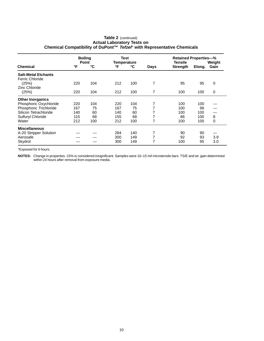|                            | <b>Boiling</b><br><b>Point</b> |     | Test<br><b>Temperature</b> |     |      | <b>Retained Properties-%</b><br>Tensile<br>Weight |        |      |
|----------------------------|--------------------------------|-----|----------------------------|-----|------|---------------------------------------------------|--------|------|
| Chemical                   | °F                             | °C  | °F                         | °C  | Days | <b>Strength</b>                                   | Elong. | Gain |
| <b>Salt-Metal Etchants</b> |                                |     |                            |     |      |                                                   |        |      |
| <b>Ferric Chloride</b>     |                                |     |                            |     |      |                                                   |        |      |
| (25%)                      | 220                            | 104 | 212                        | 100 | 7    | 95                                                | 95     | 0    |
| Zinc Chloride              |                                |     |                            |     |      |                                                   |        |      |
| (25%)                      | 220                            | 104 | 212                        | 100 | 7    | 100                                               | 100    | 0    |
| <b>Other Inorganics</b>    |                                |     |                            |     |      |                                                   |        |      |
| Phosphoric Oxychloride     | 220                            | 104 | 220                        | 104 |      | 100                                               | 100    |      |
| Phosphoric Trichloride     | 167                            | 75  | 167                        | 75  | 7    | 100                                               | 98     |      |
| Silicon Tetrachloride      | 140                            | 60  | 140                        | 60  |      | 100                                               | 100    |      |
| Sulfuryl Chloride          | 115                            | 68  | 155                        | 68  | 7    | 86                                                | 100    | 8    |
| Water                      | 212                            | 100 | 212                        | 100 | 7    | 100                                               | 100    | 0    |
| <b>Miscellaneous</b>       |                                |     |                            |     |      |                                                   |        |      |
| A-20 Stripper Solution     |                                |     | 284                        | 140 | 7    | 90                                                | 90     |      |
| Aerosafe                   |                                |     | 300                        | 149 | 7    | 92                                                | 93     | 3.9  |
| Skydrol                    |                                |     | 300                        | 149 | 7    | 100                                               | 95     | 3.0  |

#### **Table 2** (continued) **Actual Laboratory Tests on Chemical Compatibility of DuPont™ Tefzel**® **with Representative Chemicals**

\*Exposed for 6 hours.

**NOTES:** Change in properties -15% is considered insignificant. Samples were 10–15 mil microtensile bars. TS/E and wt. gain determined within 24 hours after removal from exposure media.